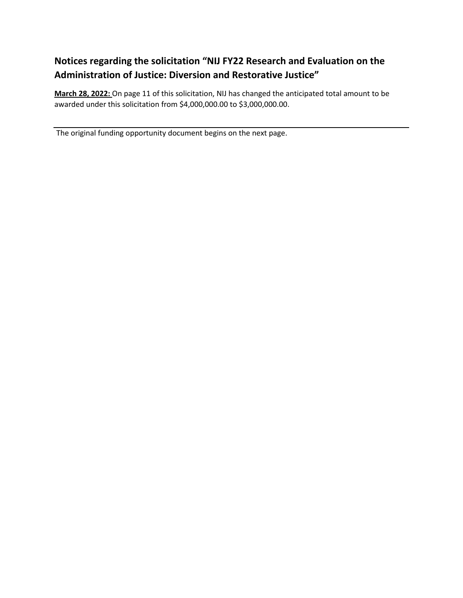## **Notices regarding the solicitation "NIJ FY22 Research and Evaluation on the Administration of Justice: Diversion and Restorative Justice"**

**March 28, 2022:** On page 11 of this solicitation, NIJ has changed the anticipated total amount to be awarded under this solicitation from \$4,000,000.00 to \$3,000,000.00.

The original funding opportunity document begins on the next page.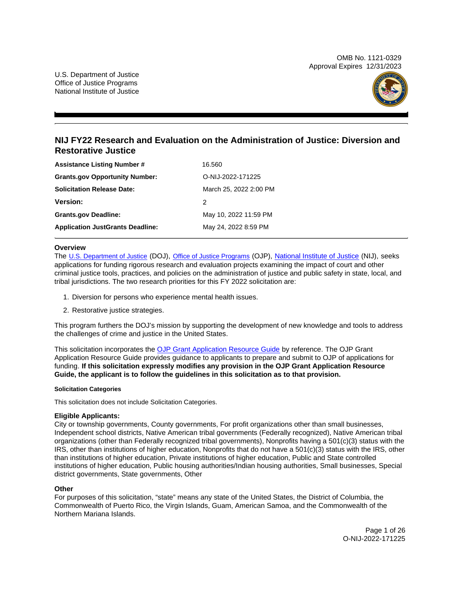OMB No. 1121-0329 Approval Expires 12/31/2023



## **NIJ FY22 Research and Evaluation on the Administration of Justice: Diversion and Restorative Justice**

| <b>Assistance Listing Number #</b>      | 16.560                 |
|-----------------------------------------|------------------------|
| <b>Grants.gov Opportunity Number:</b>   | O-NIJ-2022-171225      |
| <b>Solicitation Release Date:</b>       | March 25, 2022 2:00 PM |
| <b>Version:</b>                         | 2                      |
| <b>Grants.gov Deadline:</b>             | May 10, 2022 11:59 PM  |
| <b>Application JustGrants Deadline:</b> | May 24, 2022 8:59 PM   |

## **Overview**

The [U.S. Department of Justice](https://www.usdoj.gov/) (DOJ), [Office of Justice Programs](https://www.ojp.usdoj.gov/) (OJP), [National Institute of Justice](https://www.nij.gov/) (NIJ), seeks applications for funding rigorous research and evaluation projects examining the impact of court and other criminal justice tools, practices, and policies on the administration of justice and public safety in state, local, and tribal jurisdictions. The two research priorities for this FY 2022 solicitation are:

- 1. Diversion for persons who experience mental health issues.
- 2. Restorative justice strategies.

This program furthers the DOJ's mission by supporting the development of new knowledge and tools to address the challenges of crime and justice in the United States.

This solicitation incorporates the [OJP Grant Application Resource Guide](https://www.ojp.gov/funding/Apply/Resources/Grant-App-Resource-Guide.htm) by reference. The OJP Grant Application Resource Guide provides guidance to applicants to prepare and submit to OJP of applications for funding. **If this solicitation expressly modifies any provision in the OJP Grant Application Resource Guide, the applicant is to follow the guidelines in this solicitation as to that provision.** 

#### **Solicitation Categories**

This solicitation does not include Solicitation Categories.

#### **Eligible Applicants:**

City or township governments, County governments, For profit organizations other than small businesses, Independent school districts, Native American tribal governments (Federally recognized), Native American tribal organizations (other than Federally recognized tribal governments), Nonprofits having a 501(c)(3) status with the IRS, other than institutions of higher education, Nonprofits that do not have a 501(c)(3) status with the IRS, other than institutions of higher education, Private institutions of higher education, Public and State controlled institutions of higher education, Public housing authorities/Indian housing authorities, Small businesses, Special district governments, State governments, Other

## **Other**

For purposes of this solicitation, "state" means any state of the United States, the District of Columbia, the Commonwealth of Puerto Rico, the Virgin Islands, Guam, American Samoa, and the Commonwealth of the Northern Mariana Islands.

> Page 1 of 26 O-NIJ-2022-171225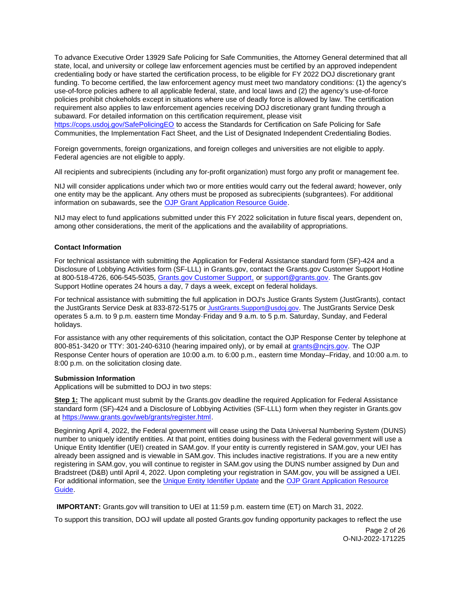<span id="page-2-0"></span>To advance Executive Order 13929 Safe Policing for Safe Communities, the Attorney General determined that all state, local, and university or college law enforcement agencies must be certified by an approved independent credentialing body or have started the certification process, to be eligible for FY 2022 DOJ discretionary grant funding. To become certified, the law enforcement agency must meet two mandatory conditions: (1) the agency's use-of-force policies adhere to all applicable federal, state, and local laws and (2) the agency's use-of-force policies prohibit chokeholds except in situations where use of deadly force is allowed by law. The certification requirement also applies to law enforcement agencies receiving DOJ discretionary grant funding through a subaward. For detailed information on this certification requirement, please visit [https://cops.usdoj.gov/SafePolicingEO](https://cops.usdoj.gov/SafePolicingEO%20) to access the Standards for Certification on Safe Policing for Safe Communities, the Implementation Fact Sheet, and the List of Designated Independent Credentialing Bodies.

Foreign governments, foreign organizations, and foreign colleges and universities are not eligible to apply. Federal agencies are not eligible to apply.

All recipients and subrecipients (including any for-profit organization) must forgo any profit or management fee.

NIJ will consider applications under which two or more entities would carry out the federal award; however, only one entity may be the applicant. Any others must be proposed as subrecipients (subgrantees). For additional information on subawards, see the [OJP Grant Application Resource Guide.](https://www.ojp.gov/funding/Apply/Resources/Grant-App-Resource-Guide.htm)

NIJ may elect to fund applications submitted under this FY 2022 solicitation in future fiscal years, dependent on, among other considerations, the merit of the applications and the availability of appropriations.

### **Contact Information**

For technical assistance with submitting the Application for Federal Assistance standard form (SF)-424 and a Disclosure of Lobbying Activities form (SF-LLL) in [Grants.gov](https://Grants.gov), contact the [Grants.gov](https://Grants.gov) Customer Support Hotline at 800-518-4726, 606-545-5035, [Grants.gov Customer Support,](https://www.grants.gov/web/grants/support.html) or [support@grants.gov.](mailto:support@grants.gov) The [Grants.gov](https://Grants.gov) Support Hotline operates 24 hours a day, 7 days a week, except on federal holidays.

For technical assistance with submitting the full application in DOJ's Justice Grants System (JustGrants), contact the JustGrants Service Desk at 833-872-5175 or [JustGrants.Support@usdoj.gov.](mailto:JustGrants.Support@usdoj.gov) The JustGrants Service Desk operates 5 a.m. to 9 p.m. eastern time Monday-Friday and 9 a.m. to 5 p.m. Saturday, Sunday, and Federal holidays.

For assistance with any other requirements of this solicitation, contact the OJP Response Center by telephone at 800-851-3420 or TTY: 301-240-6310 (hearing impaired only), or by email at [grants@ncjrs.gov.](mailto:grants@ncjrs.gov) The OJP Response Center hours of operation are 10:00 a.m. to 6:00 p.m., eastern time Monday–Friday, and 10:00 a.m. to 8:00 p.m. on the solicitation closing date.

#### **Submission Information**

Applications will be submitted to DOJ in two steps:

**Step 1:** The applicant must submit by the [Grants.gov](https://Grants.gov) deadline the required Application for Federal Assistance standard form (SF)-424 and a Disclosure of Lobbying Activities (SF-LLL) form when they register in [Grants.gov](https://Grants.gov) at [https://www.grants.gov/web/grants/register.html.](https://www.grants.gov/web/grants/register.html)

Beginning April 4, 2022, the Federal government will cease using the Data Universal Numbering System (DUNS) number to uniquely identify entities. At that point, entities doing business with the Federal government will use a Unique Entity Identifier (UEI) created in SAM.gov. If your entity is currently registered in SAM.gov, your UEI has already been assigned and is viewable in SAM.gov. This includes inactive registrations. If you are a new entity registering in SAM.gov, you will continue to register in SAM.gov using the DUNS number assigned by Dun and Bradstreet (D&B) until April 4, 2022. Upon completing your registration in SAM.gov, you will be assigned a UEI. For additional information, see the [Unique Entity Identifier Update](https://www.gsa.gov/about-us/organization/federal-acquisition-service/office-of-systems-management/integrated-award-environment-iae/iae-systems-information-kit/unique-entity-identifier-update) and the [OJP Grant Application Resource](https://www.ojp.gov/funding/apply/ojp-grant-application-resource-guide#unique-entity)  [Guide.](https://www.ojp.gov/funding/apply/ojp-grant-application-resource-guide#unique-entity)

**IMPORTANT:** [Grants.gov](https://Grants.gov) will transition to UEI at 11:59 p.m. eastern time (ET) on March 31, 2022.

To support this transition, DOJ will update all posted [Grants.gov](https://Grants.gov) funding opportunity packages to reflect the use

Page 2 of 26 O-NIJ-2022-171225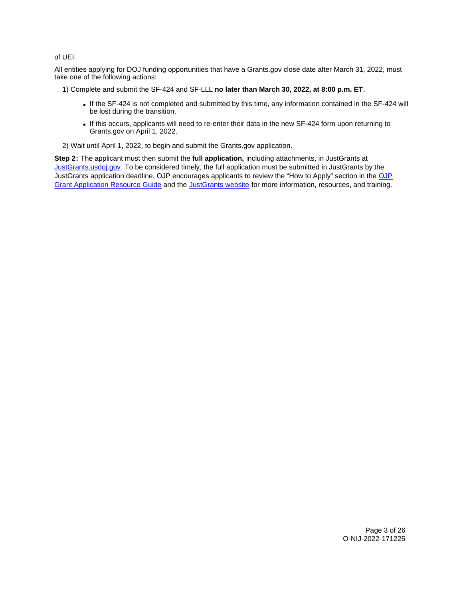## of UEI.

All entities applying for DOJ funding opportunities that have a [Grants.gov](https://Grants.gov) close date after March 31, 2022, must take one of the following actions:

1) Complete and submit the SF-424 and SF-LLL **no later than March 30, 2022, at 8:00 p.m. ET**.

- If the SF-424 is not completed and submitted by this time, any information contained in the SF-424 will be lost during the transition.
- If this occurs, applicants will need to re-enter their data in the new SF-424 form upon returning to [Grants.gov](https://Grants.gov) on April 1, 2022.

2) Wait until April 1, 2022, to begin and submit the [Grants.gov](https://Grants.gov) application.

**Step 2:** The applicant must then submit the **full application,** including attachments, in JustGrants at [JustGrants.usdoj.gov.](https://justicegrants.usdoj.gov/) To be considered timely, the full application must be submitted in JustGrants by the JustGrants application deadline. [OJP](https://www.ojp.gov/funding/apply/ojp-grant-application-resource-guide#apply) encourages applicants to review the "How to Apply" section in the OJP [Grant Application Resource Guide](https://www.ojp.gov/funding/apply/ojp-grant-application-resource-guide#apply) and the [JustGrants website](https://justicegrants.usdoj.gov/news) for more information, resources, and training.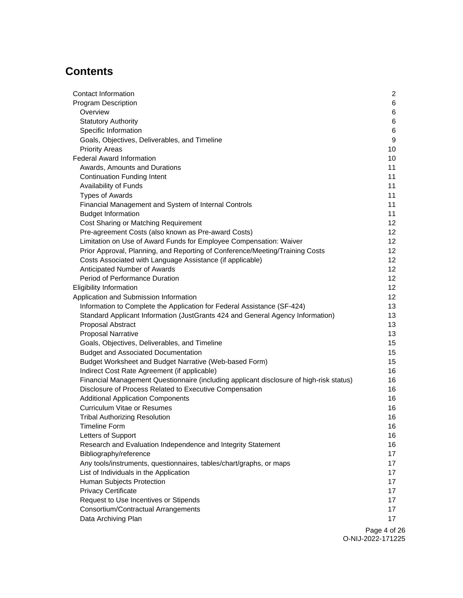# **Contents**

| Contact Information                                                                     | $\overline{2}$   |
|-----------------------------------------------------------------------------------------|------------------|
| <b>Program Description</b>                                                              | 6                |
| Overview                                                                                | 6                |
| <b>Statutory Authority</b>                                                              | 6                |
| Specific Information                                                                    | $\,6$            |
| Goals, Objectives, Deliverables, and Timeline                                           | $\boldsymbol{9}$ |
| <b>Priority Areas</b>                                                                   | 10               |
| <b>Federal Award Information</b>                                                        | 10               |
| Awards, Amounts and Durations                                                           | 11               |
| <b>Continuation Funding Intent</b>                                                      | 11               |
| Availability of Funds                                                                   | 11               |
| <b>Types of Awards</b>                                                                  | 11               |
| Financial Management and System of Internal Controls                                    | 11               |
| <b>Budget Information</b>                                                               | 11               |
| Cost Sharing or Matching Requirement                                                    | 12 <sub>2</sub>  |
| Pre-agreement Costs (also known as Pre-award Costs)                                     | 12               |
| Limitation on Use of Award Funds for Employee Compensation: Waiver                      | 12 <sub>2</sub>  |
| Prior Approval, Planning, and Reporting of Conference/Meeting/Training Costs            | 12               |
| Costs Associated with Language Assistance (if applicable)                               | 12               |
| Anticipated Number of Awards                                                            | 12 <sub>2</sub>  |
| Period of Performance Duration                                                          | 12               |
| <b>Eligibility Information</b>                                                          | 12               |
| Application and Submission Information                                                  | 12 <sup>2</sup>  |
| Information to Complete the Application for Federal Assistance (SF-424)                 | 13               |
| Standard Applicant Information (JustGrants 424 and General Agency Information)          | 13               |
| Proposal Abstract                                                                       | 13               |
| <b>Proposal Narrative</b>                                                               | 13               |
| Goals, Objectives, Deliverables, and Timeline                                           | 15               |
| <b>Budget and Associated Documentation</b>                                              | 15               |
| Budget Worksheet and Budget Narrative (Web-based Form)                                  | 15               |
| Indirect Cost Rate Agreement (if applicable)                                            | 16               |
| Financial Management Questionnaire (including applicant disclosure of high-risk status) | 16               |
| Disclosure of Process Related to Executive Compensation                                 | 16               |
| <b>Additional Application Components</b>                                                | 16               |
| <b>Curriculum Vitae or Resumes</b>                                                      | 16               |
| <b>Tribal Authorizing Resolution</b>                                                    | 16               |
| <b>Timeline Form</b>                                                                    | 16               |
| Letters of Support                                                                      | 16               |
| Research and Evaluation Independence and Integrity Statement                            | 16               |
| Bibliography/reference                                                                  | 17               |
| Any tools/instruments, questionnaires, tables/chart/graphs, or maps                     | 17               |
| List of Individuals in the Application                                                  | 17               |
| Human Subjects Protection                                                               | 17               |
| <b>Privacy Certificate</b>                                                              | 17               |
| Request to Use Incentives or Stipends                                                   | 17               |
| Consortium/Contractual Arrangements                                                     | 17               |
| Data Archiving Plan                                                                     | 17               |
|                                                                                         |                  |

Page 4 of 26 O-NIJ-2022-171225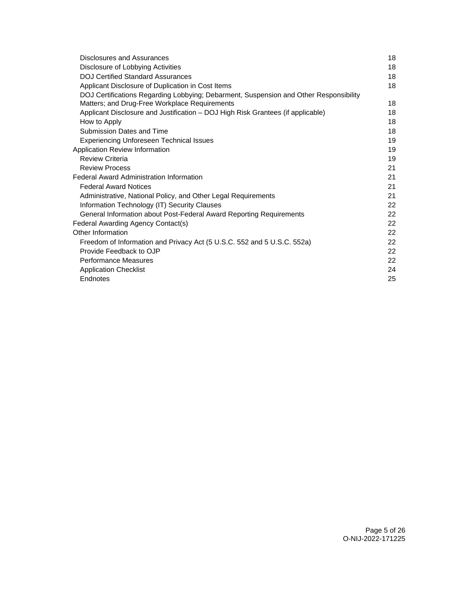| Disclosures and Assurances                                                            | 18 |
|---------------------------------------------------------------------------------------|----|
| Disclosure of Lobbying Activities                                                     | 18 |
| <b>DOJ Certified Standard Assurances</b>                                              | 18 |
| Applicant Disclosure of Duplication in Cost Items                                     | 18 |
| DOJ Certifications Regarding Lobbying; Debarment, Suspension and Other Responsibility |    |
| Matters; and Drug-Free Workplace Requirements                                         | 18 |
| Applicant Disclosure and Justification - DOJ High Risk Grantees (if applicable)       | 18 |
| How to Apply                                                                          | 18 |
| Submission Dates and Time                                                             | 18 |
| <b>Experiencing Unforeseen Technical Issues</b>                                       | 19 |
| Application Review Information                                                        | 19 |
| <b>Review Criteria</b>                                                                | 19 |
| <b>Review Process</b>                                                                 | 21 |
| <b>Federal Award Administration Information</b>                                       | 21 |
| <b>Federal Award Notices</b>                                                          | 21 |
| Administrative, National Policy, and Other Legal Requirements                         | 21 |
| Information Technology (IT) Security Clauses                                          | 22 |
| General Information about Post-Federal Award Reporting Requirements                   | 22 |
| Federal Awarding Agency Contact(s)                                                    | 22 |
| Other Information                                                                     | 22 |
| Freedom of Information and Privacy Act (5 U.S.C. 552 and 5 U.S.C. 552a)               | 22 |
| Provide Feedback to OJP                                                               | 22 |
| <b>Performance Measures</b>                                                           | 22 |
| <b>Application Checklist</b>                                                          | 24 |
| Endnotes                                                                              | 25 |
|                                                                                       |    |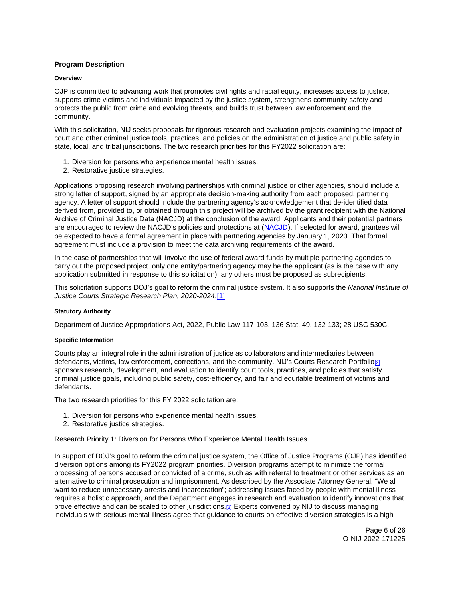## <span id="page-6-0"></span>**Program Description**

#### **Overview**

OJP is committed to advancing work that promotes civil rights and racial equity, increases access to justice, supports crime victims and individuals impacted by the justice system, strengthens community safety and protects the public from crime and evolving threats, and builds trust between law enforcement and the community.

With this solicitation, NIJ seeks proposals for rigorous research and evaluation projects examining the impact of court and other criminal justice tools, practices, and policies on the administration of justice and public safety in state, local, and tribal jurisdictions. The two research priorities for this FY2022 solicitation are:

- 1. Diversion for persons who experience mental health issues.
- 2. Restorative justice strategies.

Applications proposing research involving partnerships with criminal justice or other agencies, should include a strong letter of support, signed by an appropriate decision-making authority from each proposed, partnering agency. A letter of support should include the partnering agency's acknowledgement that de-identified data derived from, provided to, or obtained through this project will be archived by the grant recipient with the National Archive of Criminal Justice Data (NACJD) at the conclusion of the award. Applicants and their potential partners are encouraged to review the NACJD's policies and protections at [\(NACJD\)](https://www.icpsr.umich.edu/web/pages/NACJD/archiving/deposit-nij-data.html). If selected for award, grantees will be expected to have a formal agreement in place with partnering agencies by January 1, 2023. That formal agreement must include a provision to meet the data archiving requirements of the award.

In the case of partnerships that will involve the use of federal award funds by multiple partnering agencies to carry out the proposed project, only one entity/partnering agency may be the applicant (as is the case with any application submitted in response to this solicitation); any others must be proposed as subrecipients.

This solicitation supports DOJ's goal to reform the criminal justice system. It also supports the National Institute of Justice Courts Strategic Research Plan, 2020-2024.[\[1\]](#page-25-0) 

## **Statutory Authority**

Department of Justice Appropriations Act, 2022, Public Law 117-103, 136 Stat. 49, 132-133; 28 USC 530C.

## **Specific Information**

Courts play an integral role in the administration of justice as collaborators and intermediaries between defendants, victims, law enforcement, corrections, and the community. NIJ's Courts Research Portfolio<sub>[2]</sub> sponsors research, development, and evaluation to identify court tools, practices, and policies that satisfy criminal justice goals, including public safety, cost-efficiency, and fair and equitable treatment of victims and defendants.

The two research priorities for this FY 2022 solicitation are:

- 1. Diversion for persons who experience mental health issues.
- 2. Restorative justice strategies.

## Research Priority 1: Diversion for Persons Who Experience Mental Health Issues

In support of DOJ's goal to reform the criminal justice system, the Office of Justice Programs (OJP) has identified diversion options among its FY2022 program priorities. Diversion programs attempt to minimize the formal processing of persons accused or convicted of a crime, such as with referral to treatment or other services as an alternative to criminal prosecution and imprisonment. As described by the Associate Attorney General, "We all want to reduce unnecessary arrests and incarceration"; addressing issues faced by people with mental illness requires a holistic approach, and the Department engages in research and evaluation to identify innovations that prove effective and can be scaled to other jurisdictions.<sup>[3]</sup> Experts convened by NIJ to discuss managing individuals with serious mental illness agree that guidance to courts on effective diversion strategies is a high

> Page 6 of 26 O-NIJ-2022-171225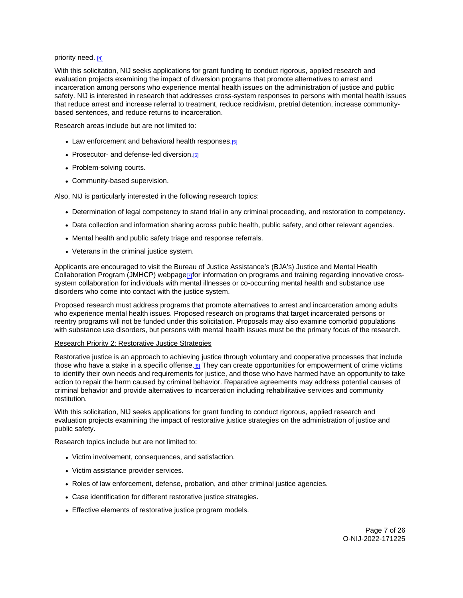### priority need. [4]

With this solicitation, NIJ seeks applications for grant funding to conduct rigorous, applied research and evaluation projects examining the impact of diversion programs that promote alternatives to arrest and incarceration among persons who experience mental health issues on the administration of justice and public safety. NIJ is interested in research that addresses cross-system responses to persons with mental health issues that reduce arrest and increase referral to treatment, reduce recidivism, pretrial detention, increase communitybased sentences, and reduce returns to incarceration.

Research areas include but are not limited to:

- Law enforcement and behavioral health responses.<sup>[5]</sup>
- Prosecutor- and defense-led diversion.<sup>[6]</sup>
- Problem-solving courts.
- Community-based supervision.

Also, NIJ is particularly interested in the following research topics:

- Determination of legal competency to stand trial in any criminal proceeding, and restoration to competency.
- Data collection and information sharing across public health, public safety, and other relevant agencies.
- Mental health and public safety triage and response referrals.
- Veterans in the criminal justice system.

Applicants are encouraged to visit the Bureau of Justice Assistance's (BJA's) Justice and Mental Health Collaboration Program (JMHCP) webpage  $\eta$  for information on programs and training regarding innovative crosssystem collaboration for individuals with mental illnesses or co-occurring mental health and substance use disorders who come into contact with the justice system.

Proposed research must address programs that promote alternatives to arrest and incarceration among adults who experience mental health issues. Proposed research on programs that target incarcerated persons or reentry programs will not be funded under this solicitation. Proposals may also examine comorbid populations with substance use disorders, but persons with mental health issues must be the primary focus of the research.

## Research Priority 2: Restorative Justice Strategies

Restorative justice is an approach to achieving justice through voluntary and cooperative processes that include those who have a stake in a specific offense[.\[8\]](#page-26-0) They can create opportunities for empowerment of crime victims to identify their own needs and requirements for justice, and those who have harmed have an opportunity to take action to repair the harm caused by criminal behavior. Reparative agreements may address potential causes of criminal behavior and provide alternatives to incarceration including rehabilitative services and community restitution.

With this solicitation, NIJ seeks applications for grant funding to conduct rigorous, applied research and evaluation projects examining the impact of restorative justice strategies on the administration of justice and public safety.

Research topics include but are not limited to:

- Victim involvement, consequences, and satisfaction.
- Victim assistance provider services.
- Roles of law enforcement, defense, probation, and other criminal justice agencies.
- Case identification for different restorative justice strategies.
- Effective elements of restorative justice program models.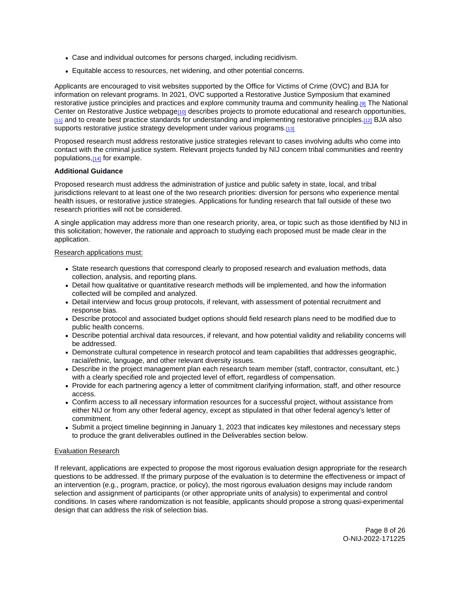- Case and individual outcomes for persons charged, including recidivism.
- Equitable access to resources, net widening, and other potential concerns.

Applicants are encouraged to visit websites supported by the Office for Victims of Crime (OVC) and BJA for information on relevant programs. In 2021, OVC supported a Restorative Justice Symposium that examined restorative justice principles and practices and explore community trauma and community healing[.\[9\]](#page-26-0) The National Center on Restorative Justice webpage<sup>[10]</sup> describes projects to promote educational and research opportunities, [\[11\]](#page-26-0) and to create best practice standards for understanding and implementing restorative principles[.\[12\]](#page-26-0) BJA also supports restorative justice strategy development under various programs.[13]

Proposed research must address restorative justice strategies relevant to cases involving adults who come into contact with the criminal justice system. Relevant projects funded by NIJ concern tribal communities and reentry populations,[\[14\]](#page-26-0) for example.

## **Additional Guidance**

Proposed research must address the administration of justice and public safety in state, local, and tribal jurisdictions relevant to at least one of the two research priorities: diversion for persons who experience mental health issues, or restorative justice strategies. Applications for funding research that fall outside of these two research priorities will not be considered.

A single application may address more than one research priority, area, or topic such as those identified by NIJ in this solicitation; however, the rationale and approach to studying each proposed must be made clear in the application.

## Research applications must:

- State research questions that correspond clearly to proposed research and evaluation methods, data collection, analysis, and reporting plans.
- Detail how qualitative or quantitative research methods will be implemented, and how the information collected will be compiled and analyzed.
- Detail interview and focus group protocols, if relevant, with assessment of potential recruitment and response bias.
- Describe protocol and associated budget options should field research plans need to be modified due to public health concerns.
- Describe potential archival data resources, if relevant, and how potential validity and reliability concerns will be addressed.
- Demonstrate cultural competence in research protocol and team capabilities that addresses geographic, racial/ethnic, language, and other relevant diversity issues.
- Describe in the project management plan each research team member (staff, contractor, consultant, etc.) with a clearly specified role and projected level of effort, regardless of compensation.
- Provide for each partnering agency a letter of commitment clarifying information, staff, and other resource access.
- Confirm access to all necessary information resources for a successful project, without assistance from either NIJ or from any other federal agency, except as stipulated in that other federal agency's letter of commitment.
- Submit a project timeline beginning in January 1, 2023 that indicates key milestones and necessary steps to produce the grant deliverables outlined in the Deliverables section below.

## Evaluation Research

If relevant, applications are expected to propose the most rigorous evaluation design appropriate for the research questions to be addressed. If the primary purpose of the evaluation is to determine the effectiveness or impact of an intervention (e.g., program, practice, or policy), the most rigorous evaluation designs may include random selection and assignment of participants (or other appropriate units of analysis) to experimental and control conditions. In cases where randomization is not feasible, applicants should propose a strong quasi-experimental design that can address the risk of selection bias.

> Page 8 of 26 O-NIJ-2022-171225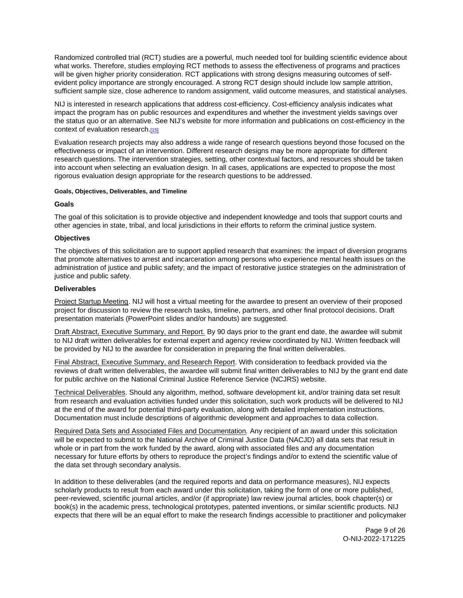<span id="page-9-0"></span>Randomized controlled trial (RCT) studies are a powerful, much needed tool for building scientific evidence about what works. Therefore, studies employing RCT methods to assess the effectiveness of programs and practices will be given higher priority consideration. RCT applications with strong designs measuring outcomes of selfevident policy importance are strongly encouraged. A strong RCT design should include low sample attrition, sufficient sample size, close adherence to random assignment, valid outcome measures, and statistical analyses.

NIJ is interested in research applications that address cost-efficiency. Cost-efficiency analysis indicates what impact the program has on public resources and expenditures and whether the investment yields savings over the status quo or an alternative. See NIJ's website for more information and publications on cost-efficiency in the context of evaluation research.[15]

Evaluation research projects may also address a wide range of research questions beyond those focused on the effectiveness or impact of an intervention. Different research designs may be more appropriate for different research questions. The intervention strategies, setting, other contextual factors, and resources should be taken into account when selecting an evaluation design. In all cases, applications are expected to propose the most rigorous evaluation design appropriate for the research questions to be addressed.

### **Goals, Objectives, Deliverables, and Timeline**

## **Goals**

The goal of this solicitation is to provide objective and independent knowledge and tools that support courts and other agencies in state, tribal, and local jurisdictions in their efforts to reform the criminal justice system.

## **Objectives**

The objectives of this solicitation are to support applied research that examines: the impact of diversion programs that promote alternatives to arrest and incarceration among persons who experience mental health issues on the administration of justice and public safety; and the impact of restorative justice strategies on the administration of justice and public safety.

## **Deliverables**

Project Startup Meeting. NIJ will host a virtual meeting for the awardee to present an overview of their proposed project for discussion to review the research tasks, timeline, partners, and other final protocol decisions. Draft presentation materials (PowerPoint slides and/or handouts) are suggested.

Draft Abstract, Executive Summary, and Report. By 90 days prior to the grant end date, the awardee will submit to NIJ draft written deliverables for external expert and agency review coordinated by NIJ. Written feedback will be provided by NIJ to the awardee for consideration in preparing the final written deliverables.

Final Abstract, Executive Summary, and Research Report. With consideration to feedback provided via the reviews of draft written deliverables, the awardee will submit final written deliverables to NIJ by the grant end date for public archive on the National Criminal Justice Reference Service (NCJRS) website.

Technical Deliverables. Should any algorithm, method, software development kit, and/or training data set result from research and evaluation activities funded under this solicitation, such work products will be delivered to NIJ at the end of the award for potential third-party evaluation, along with detailed implementation instructions. Documentation must include descriptions of algorithmic development and approaches to data collection.

Required Data Sets and Associated Files and Documentation. Any recipient of an award under this solicitation will be expected to submit to the National Archive of Criminal Justice Data (NACJD) all data sets that result in whole or in part from the work funded by the award, along with associated files and any documentation necessary for future efforts by others to reproduce the project's findings and/or to extend the scientific value of the data set through secondary analysis.

In addition to these deliverables (and the required reports and data on performance measures), NIJ expects scholarly products to result from each award under this solicitation, taking the form of one or more published, peer-reviewed, scientific journal articles, and/or (if appropriate) law review journal articles, book chapter(s) or book(s) in the academic press, technological prototypes, patented inventions, or similar scientific products. NIJ expects that there will be an equal effort to make the research findings accessible to practitioner and policymaker

> Page 9 of 26 O-NIJ-2022-171225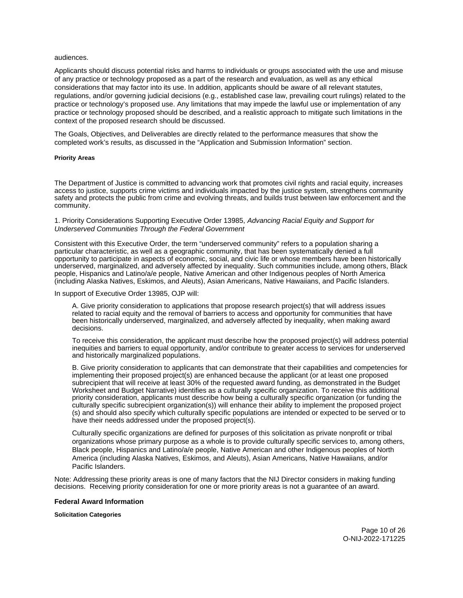#### <span id="page-10-0"></span>audiences.

Applicants should discuss potential risks and harms to individuals or groups associated with the use and misuse of any practice or technology proposed as a part of the research and evaluation, as well as any ethical considerations that may factor into its use. In addition, applicants should be aware of all relevant statutes, regulations, and/or governing judicial decisions (e.g., established case law, prevailing court rulings) related to the practice or technology's proposed use. Any limitations that may impede the lawful use or implementation of any practice or technology proposed should be described, and a realistic approach to mitigate such limitations in the context of the proposed research should be discussed.

The Goals, Objectives, and Deliverables are directly related to the performance measures that show the completed work's results, as discussed in the "Application and Submission Information" section.

#### **Priority Areas**

The Department of Justice is committed to advancing work that promotes civil rights and racial equity, increases access to justice, supports crime victims and individuals impacted by the justice system, strengthens community safety and protects the public from crime and evolving threats, and builds trust between law enforcement and the community.

#### 1. Priority Considerations Supporting Executive Order 13985, Advancing Racial Equity and Support for Underserved Communities Through the Federal Government

Consistent with this Executive Order, the term "underserved community" refers to a population sharing a particular characteristic, as well as a geographic community, that has been systematically denied a full opportunity to participate in aspects of economic, social, and civic life or whose members have been historically underserved, marginalized, and adversely affected by inequality. Such communities include, among others, Black people, Hispanics and Latino/a/e people, Native American and other Indigenous peoples of North America (including Alaska Natives, Eskimos, and Aleuts), Asian Americans, Native Hawaiians, and Pacific Islanders.

#### In support of Executive Order 13985, OJP will:

A. Give priority consideration to applications that propose research project(s) that will address issues related to racial equity and the removal of barriers to access and opportunity for communities that have been historically underserved, marginalized, and adversely affected by inequality, when making award decisions.

To receive this consideration, the applicant must describe how the proposed project(s) will address potential inequities and barriers to equal opportunity, and/or contribute to greater access to services for underserved and historically marginalized populations.

B. Give priority consideration to applicants that can demonstrate that their capabilities and competencies for implementing their proposed project(s) are enhanced because the applicant (or at least one proposed subrecipient that will receive at least 30% of the requested award funding, as demonstrated in the Budget Worksheet and Budget Narrative) identifies as a culturally specific organization. To receive this additional priority consideration, applicants must describe how being a culturally specific organization (or funding the culturally specific subrecipient organization(s)) will enhance their ability to implement the proposed project (s) and should also specify which culturally specific populations are intended or expected to be served or to have their needs addressed under the proposed project(s).

Culturally specific organizations are defined for purposes of this solicitation as private nonprofit or tribal organizations whose primary purpose as a whole is to provide culturally specific services to, among others, Black people, Hispanics and Latino/a/e people, Native American and other Indigenous peoples of North America (including Alaska Natives, Eskimos, and Aleuts), Asian Americans, Native Hawaiians, and/or Pacific Islanders.

Note: Addressing these priority areas is one of many factors that the NIJ Director considers in making funding decisions. Receiving priority consideration for one or more priority areas is not a guarantee of an award.

#### **Federal Award Information**

**Solicitation Categories** 

Page 10 of 26 O-NIJ-2022-171225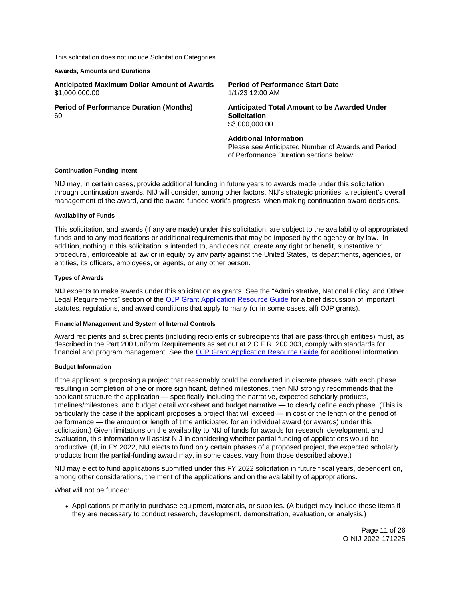<span id="page-11-0"></span>This solicitation does not include Solicitation Categories.

#### **Awards, Amounts and Durations**

| <b>Anticipated Maximum Dollar Amount of Awards</b><br>\$1,000,000.00 | <b>Period of Performance Start Date</b><br>1/1/23 12:00 AM                            |
|----------------------------------------------------------------------|---------------------------------------------------------------------------------------|
| <b>Period of Performance Duration (Months)</b><br>60.                | Anticipated Total Amount to be Awarded Under<br><b>Solicitation</b><br>\$3,000,000,00 |
|                                                                      | <b>Additional Information</b>                                                         |

Please see Anticipated Number of Awards and Period of Performance Duration sections below.

#### **Continuation Funding Intent**

NIJ may, in certain cases, provide additional funding in future years to awards made under this solicitation through continuation awards. NIJ will consider, among other factors, NIJ's strategic priorities, a recipient's overall management of the award, and the award-funded work's progress, when making continuation award decisions.

#### **Availability of Funds**

This solicitation, and awards (if any are made) under this solicitation, are subject to the availability of appropriated funds and to any modifications or additional requirements that may be imposed by the agency or by law. In addition, nothing in this solicitation is intended to, and does not, create any right or benefit, substantive or procedural, enforceable at law or in equity by any party against the United States, its departments, agencies, or entities, its officers, employees, or agents, or any other person.

#### **Types of Awards**

NIJ expects to make awards under this solicitation as grants. See the "Administrative, National Policy, and Other Legal Requirements" section of the [OJP Grant Application Resource Guide](https://www.ojp.gov/funding/apply/ojp-grant-application-resource-guide#administrative) for a brief discussion of important statutes, regulations, and award conditions that apply to many (or in some cases, all) OJP grants).

## **Financial Management and System of Internal Controls**

Award recipients and subrecipients (including recipients or subrecipients that are pass-through entities) must, as described in the Part 200 Uniform Requirements as set out at 2 C.F.R. 200.303, comply with standards for financial and program management. See the [OJP Grant Application Resource Guide](https://www.ojp.gov/funding/apply/ojp-grant-application-resource-guide#fm-internal-controls) for additional information.

#### **Budget Information**

If the applicant is proposing a project that reasonably could be conducted in discrete phases, with each phase resulting in completion of one or more significant, defined milestones, then NIJ strongly recommends that the applicant structure the application — specifically including the narrative, expected scholarly products, timelines/milestones, and budget detail worksheet and budget narrative — to clearly define each phase. (This is particularly the case if the applicant proposes a project that will exceed — in cost or the length of the period of performance — the amount or length of time anticipated for an individual award (or awards) under this solicitation.) Given limitations on the availability to NIJ of funds for awards for research, development, and evaluation, this information will assist NIJ in considering whether partial funding of applications would be productive. (If, in FY 2022, NIJ elects to fund only certain phases of a proposed project, the expected scholarly products from the partial-funding award may, in some cases, vary from those described above.)

NIJ may elect to fund applications submitted under this FY 2022 solicitation in future fiscal years, dependent on, among other considerations, the merit of the applications and on the availability of appropriations.

What will not be funded:

Applications primarily to purchase equipment, materials, or supplies. (A budget may include these items if they are necessary to conduct research, development, demonstration, evaluation, or analysis.)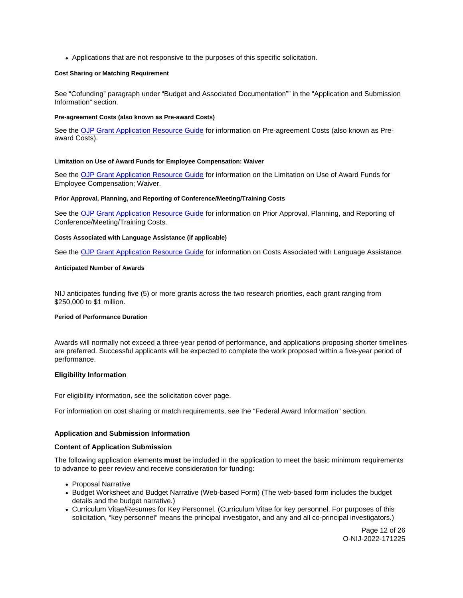<span id="page-12-0"></span>Applications that are not responsive to the purposes of this specific solicitation.

## **Cost Sharing or Matching Requirement**

See "Cofunding" paragraph under "Budget and Associated Documentation"" in the "Application and Submission Information" section.

#### **Pre-agreement Costs (also known as Pre-award Costs)**

See the [OJP Grant Application Resource Guide](https://www.ojp.gov/funding/apply/ojp-grant-application-resource-guide#pre-agreement-costs) for information on Pre-agreement Costs (also known as Preaward Costs).

#### **Limitation on Use of Award Funds for Employee Compensation: Waiver**

See the [OJP Grant Application Resource Guide](https://www.ojp.gov/funding/apply/ojp-grant-application-resource-guide#limitation-use-award) for information on the Limitation on Use of Award Funds for Employee Compensation; Waiver.

## **Prior Approval, Planning, and Reporting of Conference/Meeting/Training Costs**

See the [OJP Grant Application Resource Guide](https://www.ojp.gov/funding/apply/ojp-grant-application-resource-guide#prior-approval) for information on Prior Approval, Planning, and Reporting of Conference/Meeting/Training Costs.

#### **Costs Associated with Language Assistance (if applicable)**

See the **[OJP Grant Application Resource Guide](https://www.ojp.gov/funding/apply/ojp-grant-application-resource-guide#costs-associated) for information on Costs Associated with Language Assistance.** 

### **Anticipated Number of Awards**

NIJ anticipates funding five (5) or more grants across the two research priorities, each grant ranging from \$250,000 to \$1 million.

#### **Period of Performance Duration**

Awards will normally not exceed a three-year period of performance, and applications proposing shorter timelines are preferred. Successful applicants will be expected to complete the work proposed within a five-year period of performance.

## **Eligibility Information**

For eligibility information, see the solicitation cover page.

For information on cost sharing or match requirements, see the "Federal Award Information" section.

## **Application and Submission Information**

#### **Content of Application Submission**

The following application elements **must** be included in the application to meet the basic minimum requirements to advance to peer review and receive consideration for funding:

- Proposal Narrative
- Budget Worksheet and Budget Narrative (Web-based Form) (The web-based form includes the budget details and the budget narrative.)
- Curriculum Vitae/Resumes for Key Personnel. (Curriculum Vitae for key personnel. For purposes of this solicitation, "key personnel" means the principal investigator, and any and all co-principal investigators.)

Page 12 of 26 O-NIJ-2022-171225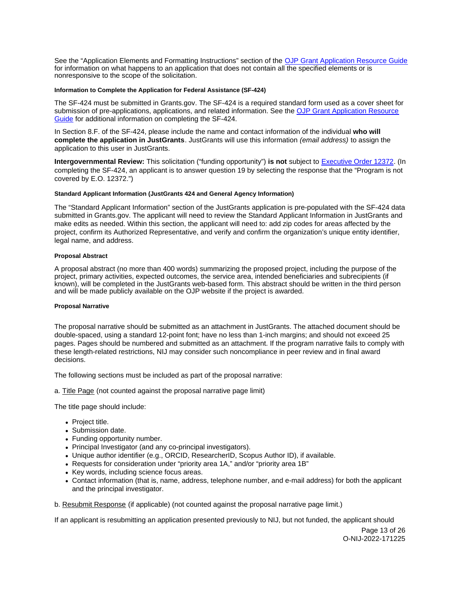<span id="page-13-0"></span>See the "Application Elements and Formatting Instructions" section of the [OJP Grant Application Resource Guide](https://www.ojp.gov/funding/apply/ojp-grant-application-resource-guide#application-elements)  for information on what happens to an application that does not contain all the specified elements or is nonresponsive to the scope of the solicitation.

#### **Information to Complete the Application for Federal Assistance (SF-424)**

The SF-424 must be submitted in [Grants.gov](https://Grants.gov). The SF-424 is a required standard form used as a cover sheet for submission of pre-applications, applications, and related information. See the [OJP Grant Application Resource](https://www.ojp.gov/funding/apply/ojp-grant-application-resource-guide#complete-application)  [Guide](https://www.ojp.gov/funding/apply/ojp-grant-application-resource-guide#complete-application) for additional information on completing the SF-424.

In Section 8.F. of the SF-424, please include the name and contact information of the individual **who will complete the application in JustGrants**. JustGrants will use this information (email address) to assign the application to this user in JustGrants.

**Intergovernmental Review:** This solicitation ("funding opportunity") **is not** subject to [Executive Order 12372.](https://www.archives.gov/federal-register/codification/executive-order/12372.html) (In completing the SF-424, an applicant is to answer question 19 by selecting the response that the "Program is not covered by E.O. 12372.")

#### **Standard Applicant Information (JustGrants 424 and General Agency Information)**

The "Standard Applicant Information" section of the JustGrants application is pre-populated with the SF-424 data submitted in [Grants.gov.](https://Grants.gov) The applicant will need to review the Standard Applicant Information in JustGrants and make edits as needed. Within this section, the applicant will need to: add zip codes for areas affected by the project, confirm its Authorized Representative, and verify and confirm the organization's unique entity identifier, legal name, and address.

#### **Proposal Abstract**

A proposal abstract (no more than 400 words) summarizing the proposed project, including the purpose of the project, primary activities, expected outcomes, the service area, intended beneficiaries and subrecipients (if known), will be completed in the JustGrants web-based form. This abstract should be written in the third person and will be made publicly available on the OJP website if the project is awarded.

#### **Proposal Narrative**

The proposal narrative should be submitted as an attachment in JustGrants. The attached document should be double-spaced, using a standard 12-point font; have no less than 1-inch margins; and should not exceed 25 pages. Pages should be numbered and submitted as an attachment. If the program narrative fails to comply with these length-related restrictions, NIJ may consider such noncompliance in peer review and in final award decisions.

The following sections must be included as part of the proposal narrative:

a. Title Page (not counted against the proposal narrative page limit)

The title page should include:

- Project title.
- Submission date.
- Funding opportunity number.
- Principal Investigator (and any co-principal investigators).
- Unique author identifier (e.g., ORCID, ResearcherID, Scopus Author ID), if available.
- Requests for consideration under "priority area 1A," and/or "priority area 1B"
- Key words, including science focus areas.
- Contact information (that is, name, address, telephone number, and e-mail address) for both the applicant and the principal investigator.
- b. Resubmit Response (if applicable) (not counted against the proposal narrative page limit.)

If an applicant is resubmitting an application presented previously to NIJ, but not funded, the applicant should

Page 13 of 26 O-NIJ-2022-171225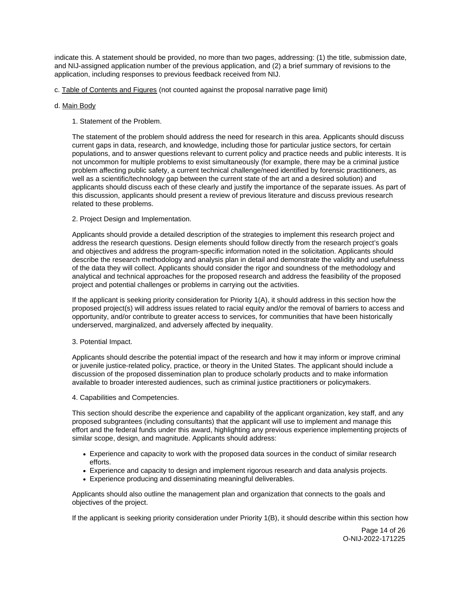indicate this. A statement should be provided, no more than two pages, addressing: (1) the title, submission date, and NIJ-assigned application number of the previous application, and (2) a brief summary of revisions to the application, including responses to previous feedback received from NIJ.

c. Table of Contents and Figures (not counted against the proposal narrative page limit)

## d. Main Body

1. Statement of the Problem.

The statement of the problem should address the need for research in this area. Applicants should discuss current gaps in data, research, and knowledge, including those for particular justice sectors, for certain populations, and to answer questions relevant to current policy and practice needs and public interests. It is not uncommon for multiple problems to exist simultaneously (for example, there may be a criminal justice problem affecting public safety, a current technical challenge/need identified by forensic practitioners, as well as a scientific/technology gap between the current state of the art and a desired solution) and applicants should discuss each of these clearly and justify the importance of the separate issues. As part of this discussion, applicants should present a review of previous literature and discuss previous research related to these problems.

2. Project Design and Implementation.

Applicants should provide a detailed description of the strategies to implement this research project and address the research questions. Design elements should follow directly from the research project's goals and objectives and address the program-specific information noted in the solicitation. Applicants should describe the research methodology and analysis plan in detail and demonstrate the validity and usefulness of the data they will collect. Applicants should consider the rigor and soundness of the methodology and analytical and technical approaches for the proposed research and address the feasibility of the proposed project and potential challenges or problems in carrying out the activities.

If the applicant is seeking priority consideration for Priority 1(A), it should address in this section how the proposed project(s) will address issues related to racial equity and/or the removal of barriers to access and opportunity, and/or contribute to greater access to services, for communities that have been historically underserved, marginalized, and adversely affected by inequality.

## 3. Potential Impact.

Applicants should describe the potential impact of the research and how it may inform or improve criminal or juvenile justice-related policy, practice, or theory in the United States. The applicant should include a discussion of the proposed dissemination plan to produce scholarly products and to make information available to broader interested audiences, such as criminal justice practitioners or policymakers.

## 4. Capabilities and Competencies.

This section should describe the experience and capability of the applicant organization, key staff, and any proposed subgrantees (including consultants) that the applicant will use to implement and manage this effort and the federal funds under this award, highlighting any previous experience implementing projects of similar scope, design, and magnitude. Applicants should address:

- Experience and capacity to work with the proposed data sources in the conduct of similar research efforts.
- Experience and capacity to design and implement rigorous research and data analysis projects.
- Experience producing and disseminating meaningful deliverables.

Applicants should also outline the management plan and organization that connects to the goals and objectives of the project.

If the applicant is seeking priority consideration under Priority 1(B), it should describe within this section how

Page 14 of 26 O-NIJ-2022-171225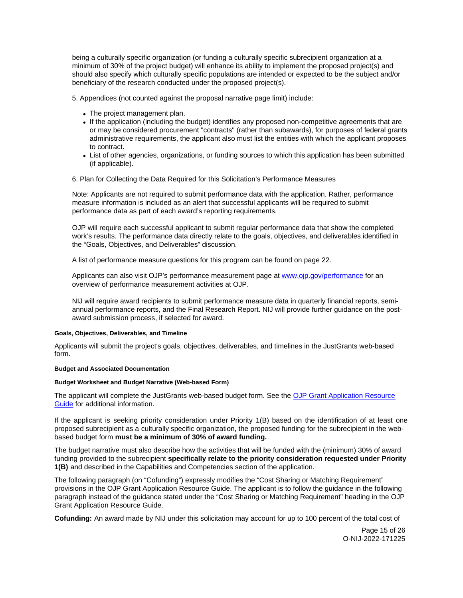<span id="page-15-0"></span>being a culturally specific organization (or funding a culturally specific subrecipient organization at a minimum of 30% of the project budget) will enhance its ability to implement the proposed project(s) and should also specify which culturally specific populations are intended or expected to be the subject and/or beneficiary of the research conducted under the proposed project(s).

5. Appendices (not counted against the proposal narrative page limit) include:

- The project management plan.
- If the application (including the budget) identifies any proposed non-competitive agreements that are or may be considered procurement "contracts" (rather than subawards), for purposes of federal grants administrative requirements, the applicant also must list the entities with which the applicant proposes to contract.
- List of other agencies, organizations, or funding sources to which this application has been submitted (if applicable).
- 6. Plan for Collecting the Data Required for this Solicitation's Performance Measures

Note: Applicants are not required to submit performance data with the application. Rather, performance measure information is included as an alert that successful applicants will be required to submit performance data as part of each award's reporting requirements.

OJP will require each successful applicant to submit regular performance data that show the completed work's results. The performance data directly relate to the goals, objectives, and deliverables identified in the "Goals, Objectives, and Deliverables" discussion.

A list of performance measure questions for this program can be found on page 22.

Applicants can also visit OJP's performance measurement page at [www.ojp.gov/performance](https://www.ojp.gov/performance) for an overview of performance measurement activities at OJP.

NIJ will require award recipients to submit performance measure data in quarterly financial reports, semiannual performance reports, and the Final Research Report. NIJ will provide further guidance on the postaward submission process, if selected for award.

#### **Goals, Objectives, Deliverables, and Timeline**

Applicants will submit the project's goals, objectives, deliverables, and timelines in the JustGrants web-based form.

### **Budget and Associated Documentation**

#### **Budget Worksheet and Budget Narrative (Web-based Form)**

The applicant will complete the JustGrants web-based budget form. See the [OJP Grant Application Resource](https://www.ojp.gov/funding/apply/ojp-grant-application-resource-guide#budget-prep)  [Guide](https://www.ojp.gov/funding/apply/ojp-grant-application-resource-guide#budget-prep) for additional information.

If the applicant is seeking priority consideration under Priority 1(B) based on the identification of at least one proposed subrecipient as a culturally specific organization, the proposed funding for the subrecipient in the webbased budget form **must be a minimum of 30% of award funding.** 

The budget narrative must also describe how the activities that will be funded with the (minimum) 30% of award funding provided to the subrecipient **specifically relate to the priority consideration requested under Priority 1(B)** and described in the Capabilities and Competencies section of the application.

The following paragraph (on "Cofunding") expressly modifies the "Cost Sharing or Matching Requirement" provisions in the OJP Grant Application Resource Guide. The applicant is to follow the guidance in the following paragraph instead of the guidance stated under the "Cost Sharing or Matching Requirement" heading in the OJP Grant Application Resource Guide.

**Cofunding:** An award made by NIJ under this solicitation may account for up to 100 percent of the total cost of

Page 15 of 26 O-NIJ-2022-171225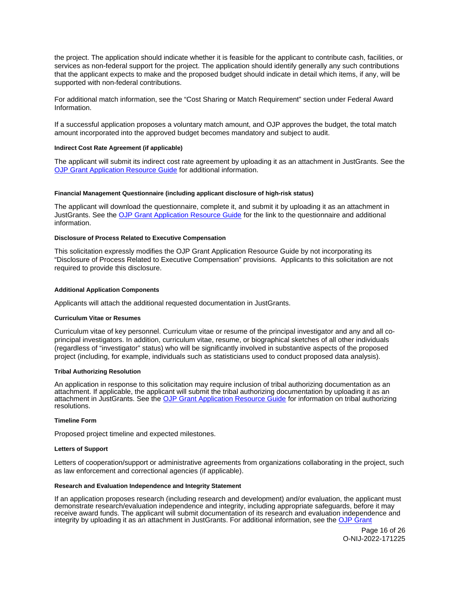<span id="page-16-0"></span>the project. The application should indicate whether it is feasible for the applicant to contribute cash, facilities, or services as non-federal support for the project. The application should identify generally any such contributions that the applicant expects to make and the proposed budget should indicate in detail which items, if any, will be supported with non-federal contributions.

For additional match information, see the "Cost Sharing or Match Requirement" section under Federal Award Information.

If a successful application proposes a voluntary match amount, and OJP approves the budget, the total match amount incorporated into the approved budget becomes mandatory and subject to audit.

## **Indirect Cost Rate Agreement (if applicable)**

The applicant will submit its indirect cost rate agreement by uploading it as an attachment in JustGrants. See the [OJP Grant Application Resource Guide](https://www.ojp.gov/funding/apply/ojp-grant-application-resource-guide#indirect-cost) for additional information.

#### **Financial Management Questionnaire (including applicant disclosure of high-risk status)**

The applicant will download the questionnaire, complete it, and submit it by uploading it as an attachment in JustGrants. See the [OJP Grant Application Resource Guide](https://www.ojp.gov/funding/apply/ojp-grant-application-resource-guide#fm-internal-controls-questionnaire) for the link to the questionnaire and additional information.

### **Disclosure of Process Related to Executive Compensation**

This solicitation expressly modifies the OJP Grant Application Resource Guide by not incorporating its "Disclosure of Process Related to Executive Compensation" provisions. Applicants to this solicitation are not required to provide this disclosure.

#### **Additional Application Components**

Applicants will attach the additional requested documentation in JustGrants.

#### **Curriculum Vitae or Resumes**

Curriculum vitae of key personnel. Curriculum vitae or resume of the principal investigator and any and all coprincipal investigators. In addition, curriculum vitae, resume, or biographical sketches of all other individuals (regardless of "investigator" status) who will be significantly involved in substantive aspects of the proposed project (including, for example, individuals such as statisticians used to conduct proposed data analysis).

#### **Tribal Authorizing Resolution**

An application in response to this solicitation may require inclusion of tribal authorizing documentation as an attachment. If applicable, the applicant will submit the tribal authorizing documentation by uploading it as an attachment in JustGrants. See the [OJP Grant Application Resource Guide](https://www.ojp.gov/funding/apply/ojp-grant-application-resource-guide#tribal-authorizing-resolution) for information on tribal authorizing resolutions.

#### **Timeline Form**

Proposed project timeline and expected milestones.

#### **Letters of Support**

Letters of cooperation/support or administrative agreements from organizations collaborating in the project, such as law enforcement and correctional agencies (if applicable).

#### **Research and Evaluation Independence and Integrity Statement**

If an application proposes research (including research and development) and/or evaluation, the applicant must demonstrate research/evaluation independence and integrity, including appropriate safeguards, before it may receive award funds. The applicant will submit documentation of its research and evaluation independence and integrity by uploading it as an attachment in JustGrants. For additional information, see the [OJP Grant](https://www.ojp.gov/funding/apply/ojp-grant-application-resource-guide#research-evaluation) 

> Page 16 of 26 O-NIJ-2022-171225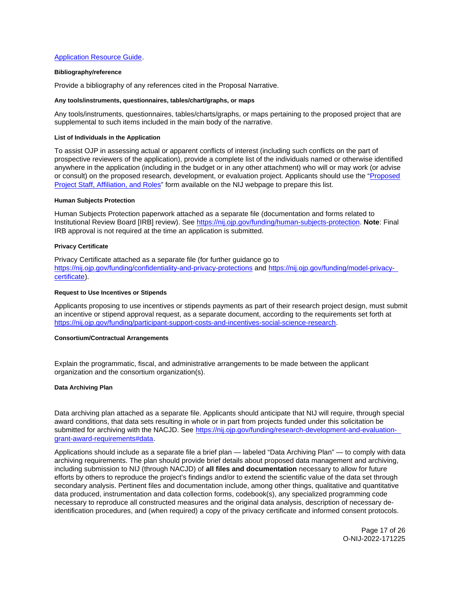## <span id="page-17-0"></span>[Application Resource Guide.](https://www.ojp.gov/funding/apply/ojp-grant-application-resource-guide#research-evaluation)

### **Bibliography/reference**

Provide a bibliography of any references cited in the Proposal Narrative.

#### **Any tools/instruments, questionnaires, tables/chart/graphs, or maps**

Any tools/instruments, questionnaires, tables/charts/graphs, or maps pertaining to the proposed project that are supplemental to such items included in the main body of the narrative.

#### **List of Individuals in the Application**

To assist OJP in assessing actual or apparent conflicts of interest (including such conflicts on the part of prospective reviewers of the application), provide a complete list of the individuals named or otherwise identified anywhere in the application (including in the budget or in any other attachment) who will or may work (or advise or consult) on the proposed research, development, or evaluation project. Applicants should use the ["Proposed](http://nij.ojp.gov/sites/g/files/xyckuh171/files/media/document/nij-project-staff-template.xlsx)  [Project Staff, Affiliation, and Roles"](http://nij.ojp.gov/sites/g/files/xyckuh171/files/media/document/nij-project-staff-template.xlsx) form available on the NIJ webpage to prepare this list.

#### **Human Subjects Protection**

Human Subjects Protection paperwork attached as a separate file (documentation and forms related to Institutional Review Board [IRB] review). See [https://nij.ojp.gov/funding/human-subjects-protection.](https://nij.ojp.gov/funding/human-subjects-protection) **Note**: Final IRB approval is not required at the time an application is submitted.

#### **Privacy Certificate**

Privacy Certificate attached as a separate file (for further guidance go to <https://nij.ojp.gov/funding/confidentiality-and-privacy-protections>and [https://nij.ojp.gov/funding/model-privacy](https://nij.ojp.gov/funding/model-privacy-certificate)[certificate\)](https://nij.ojp.gov/funding/model-privacy-certificate).

#### **Request to Use Incentives or Stipends**

Applicants proposing to use incentives or stipends payments as part of their research project design, must submit an incentive or stipend approval request, as a separate document, according to the requirements set forth at [https://nij.ojp.gov/funding/participant-support-costs-and-incentives-social-science-research.](https://nij.ojp.gov/funding/participant-support-costs-and-incentives-social-science-research)

#### **Consortium/Contractual Arrangements**

Explain the programmatic, fiscal, and administrative arrangements to be made between the applicant organization and the consortium organization(s).

#### **Data Archiving Plan**

Data archiving plan attached as a separate file. Applicants should anticipate that NIJ will require, through special award conditions, that data sets resulting in whole or in part from projects funded under this solicitation be submitted for archiving with the NACJD. See [https://nij.ojp.gov/funding/research-development-and-evaluation](https://nij.ojp.gov/funding/research-development-and-evaluation-grant-award-requirements#data)[grant-award-requirements#data.](https://nij.ojp.gov/funding/research-development-and-evaluation-grant-award-requirements#data)

Applications should include as a separate file a brief plan — labeled "Data Archiving Plan" — to comply with data archiving requirements. The plan should provide brief details about proposed data management and archiving, including submission to NIJ (through NACJD) of **all files and documentation** necessary to allow for future efforts by others to reproduce the project's findings and/or to extend the scientific value of the data set through secondary analysis. Pertinent files and documentation include, among other things, qualitative and quantitative data produced, instrumentation and data collection forms, codebook(s), any specialized programming code necessary to reproduce all constructed measures and the original data analysis, description of necessary deidentification procedures, and (when required) a copy of the privacy certificate and informed consent protocols.

> Page 17 of 26 O-NIJ-2022-171225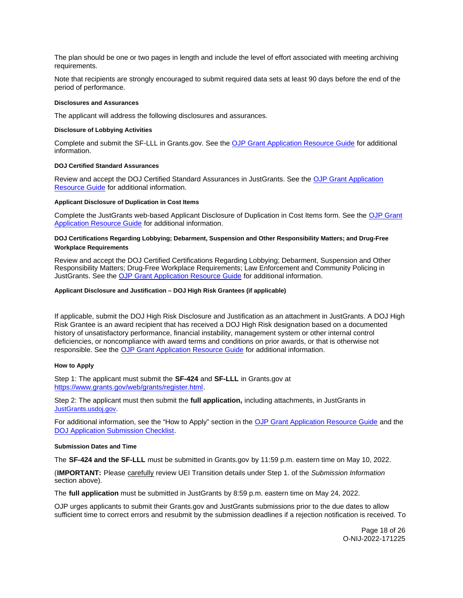<span id="page-18-0"></span>The plan should be one or two pages in length and include the level of effort associated with meeting archiving requirements.

Note that recipients are strongly encouraged to submit required data sets at least 90 days before the end of the period of performance.

#### **Disclosures and Assurances**

The applicant will address the following disclosures and assurances.

#### **Disclosure of Lobbying Activities**

Complete and submit the SF-LLL in [Grants.gov.](https://Grants.gov) See the [OJP Grant Application Resource Guide](https://www.ojp.gov/funding/apply/ojp-grant-application-resource-guide#disclosure-lobby) for additional information.

#### **DOJ Certified Standard Assurances**

Review and accept the DOJ Certified Standard Assurances in JustGrants. See the [OJP Grant Application](https://www.ojp.gov/funding/apply/ojp-grant-application-resource-guide#administrative)  [Resource Guide](https://www.ojp.gov/funding/apply/ojp-grant-application-resource-guide#administrative) for additional information.

#### **Applicant Disclosure of Duplication in Cost Items**

Complete the JustGrants web-based Applicant Disclosure of Duplication in Cost Items form. See the [OJP Grant](https://www.ojp.gov/funding/apply/ojp-grant-application-resource-guide#applicant-disclosure-pending-applications)  [Application Resource Guide](https://www.ojp.gov/funding/apply/ojp-grant-application-resource-guide#applicant-disclosure-pending-applications) for additional information.

#### **DOJ Certifications Regarding Lobbying; Debarment, Suspension and Other Responsibility Matters; and Drug-Free Workplace Requirements**

Review and accept the DOJ Certified Certifications Regarding Lobbying; Debarment, Suspension and Other Responsibility Matters; Drug-Free Workplace Requirements; Law Enforcement and Community Policing in JustGrants. See the [OJP Grant Application Resource Guide](https://www.ojp.gov/funding/apply/ojp-grant-application-resource-guide#administrative) for additional information.

#### **Applicant Disclosure and Justification – DOJ High Risk Grantees (if applicable)**

If applicable, submit the DOJ High Risk Disclosure and Justification as an attachment in JustGrants. A DOJ High Risk Grantee is an award recipient that has received a DOJ High Risk designation based on a documented history of unsatisfactory performance, financial instability, management system or other internal control deficiencies, or noncompliance with award terms and conditions on prior awards, or that is otherwise not responsible. See the [OJP Grant Application Resource Guide](https://www.ojp.gov/funding/apply/ojp-grant-application-resource-guide) for additional information.

## **How to Apply**

Step 1: The applicant must submit the **SF-424** and **SF-LLL** in [Grants.gov](https://Grants.gov) at [https://www.grants.gov/web/grants/register.html.](https://www.grants.gov/web/grants/register.html)

Step 2: The applicant must then submit the **full application,** including attachments, in JustGrants in [JustGrants.usdoj.gov.](https://justicegrants.usdoj.gov/)

For additional information, see the "How to Apply" section in the [OJP Grant Application Resource Guide](https://www.ojp.gov/funding/apply/ojp-grant-application-resource-guide#apply) and the [DOJ Application Submission Checklist.](https://justicegrants.usdoj.gov/sites/g/files/xyckuh296/files/media/document/appln-submission-checklist.pdf)

#### **Submission Dates and Time**

The **SF-424 and the SF-LLL** must be submitted in [Grants.gov](https://Grants.gov) by 11:59 p.m. eastern time on May 10, 2022.

(**IMPORTANT:** Please carefully review UEI Transition details under Step 1. of the Submission Information section above).

The **full application** must be submitted in JustGrants by 8:59 p.m. eastern time on May 24, 2022.

OJP urges applicants to submit their [Grants.gov](https://Grants.gov) and JustGrants submissions prior to the due dates to allow sufficient time to correct errors and resubmit by the submission deadlines if a rejection notification is received. To

> Page 18 of 26 O-NIJ-2022-171225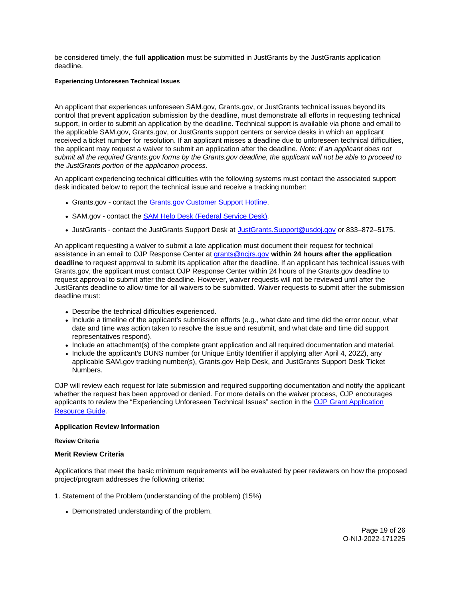<span id="page-19-0"></span>be considered timely, the **full application** must be submitted in JustGrants by the JustGrants application deadline.

#### **Experiencing Unforeseen Technical Issues**

An applicant that experiences unforeseen SAM.gov, [Grants.gov,](https://Grants.gov) or JustGrants technical issues beyond its control that prevent application submission by the deadline, must demonstrate all efforts in requesting technical support, in order to submit an application by the deadline. Technical support is available via phone and email to the applicable SAM.gov, [Grants.gov,](https://Grants.gov) or JustGrants support centers or service desks in which an applicant received a ticket number for resolution. If an applicant misses a deadline due to unforeseen technical difficulties, the applicant may request a waiver to submit an application after the deadline. Note: If an applicant does not submit all the required [Grants.gov](https://Grants.gov) forms by the [Grants.gov](https://Grants.gov) deadline, the applicant will not be able to proceed to the JustGrants portion of the application process.

An applicant experiencing technical difficulties with the following systems must contact the associated support desk indicated below to report the technical issue and receive a tracking number:

- [Grants.gov](https://Grants.gov)  contact the [Grants.gov Customer Support Hotline.](https://www.grants.gov/web/grants/support.html)
- SAM.gov contact the [SAM Help Desk \(Federal Service Desk\).](https://www.fsd.gov/gsafsd_sp)
- JustGrants contact the JustGrants Support Desk at [JustGrants.Support@usdoj.gov](mailto:JustGrants.Support@usdoj.gov) or 833–872–5175.

An applicant requesting a waiver to submit a late application must document their request for technical assistance in an email to OJP Response Center at [grants@ncjrs.gov](mailto:grants@ncjrs.gov) **within 24 hours after the application deadline** to request approval to submit its application after the deadline. If an applicant has technical issues with [Grants.gov,](https://Grants.gov) the applicant must contact OJP Response Center within 24 hours of the [Grants.gov](https://Grants.gov) deadline to request approval to submit after the deadline. However, waiver requests will not be reviewed until after the JustGrants deadline to allow time for all waivers to be submitted. Waiver requests to submit after the submission deadline must:

- Describe the technical difficulties experienced.
- Include a timeline of the applicant's submission efforts (e.g., what date and time did the error occur, what date and time was action taken to resolve the issue and resubmit, and what date and time did support representatives respond).
- Include an attachment(s) of the complete grant application and all required documentation and material.
- Include the applicant's DUNS number (or Unique Entity Identifier if applying after April 4, 2022), any applicable SAM.gov tracking number(s), [Grants.gov](https://Grants.gov) Help Desk, and JustGrants Support Desk Ticket Numbers.

OJP will review each request for late submission and required supporting documentation and notify the applicant whether the request has been approved or denied. For more details on the waiver process, OJP encourages applicants to review the "Experiencing Unforeseen Technical Issues" section in the [OJP Grant Application](https://www.ojp.gov/funding/apply/ojp-grant-application-resource-guide#experiencing-unforeseen-technical-issues)  [Resource Guide](https://www.ojp.gov/funding/apply/ojp-grant-application-resource-guide#experiencing-unforeseen-technical-issues).

## **Application Review Information**

## **Review Criteria**

## **Merit Review Criteria**

Applications that meet the basic minimum requirements will be evaluated by peer reviewers on how the proposed project/program addresses the following criteria:

1. Statement of the Problem (understanding of the problem) (15%)

Demonstrated understanding of the problem.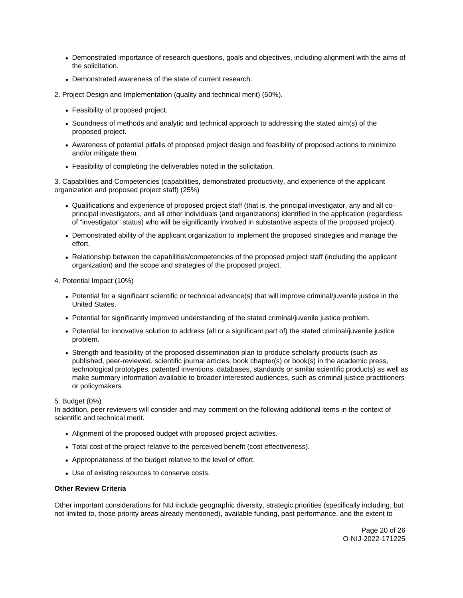- Demonstrated importance of research questions, goals and objectives, including alignment with the aims of the solicitation.
- Demonstrated awareness of the state of current research.
- 2. Project Design and Implementation (quality and technical merit) (50%).
	- Feasibility of proposed project.
	- Soundness of methods and analytic and technical approach to addressing the stated aim(s) of the proposed project.
	- Awareness of potential pitfalls of proposed project design and feasibility of proposed actions to minimize and/or mitigate them.
	- Feasibility of completing the deliverables noted in the solicitation.

3. Capabilities and Competencies (capabilities, demonstrated productivity, and experience of the applicant organization and proposed project staff) (25%)

- Qualifications and experience of proposed project staff (that is, the principal investigator, any and all coprincipal investigators, and all other individuals (and organizations) identified in the application (regardless of "investigator" status) who will be significantly involved in substantive aspects of the proposed project).
- Demonstrated ability of the applicant organization to implement the proposed strategies and manage the effort.
- Relationship between the capabilities/competencies of the proposed project staff (including the applicant organization) and the scope and strategies of the proposed project.
- 4. Potential Impact (10%)
	- Potential for a significant scientific or technical advance(s) that will improve criminal/juvenile justice in the United States.
	- Potential for significantly improved understanding of the stated criminal/juvenile justice problem.
	- Potential for innovative solution to address (all or a significant part of) the stated criminal/juvenile justice problem.
	- Strength and feasibility of the proposed dissemination plan to produce scholarly products (such as published, peer-reviewed, scientific journal articles, book chapter(s) or book(s) in the academic press, technological prototypes, patented inventions, databases, standards or similar scientific products) as well as make summary information available to broader interested audiences, such as criminal justice practitioners or policymakers.

## 5. Budget (0%)

In addition, peer reviewers will consider and may comment on the following additional items in the context of scientific and technical merit.

- Alignment of the proposed budget with proposed project activities.
- Total cost of the project relative to the perceived benefit (cost effectiveness).
- Appropriateness of the budget relative to the level of effort.
- Use of existing resources to conserve costs.

## **Other Review Criteria**

Other important considerations for NIJ include geographic diversity, strategic priorities (specifically including, but not limited to, those priority areas already mentioned), available funding, past performance, and the extent to

> Page 20 of 26 O-NIJ-2022-171225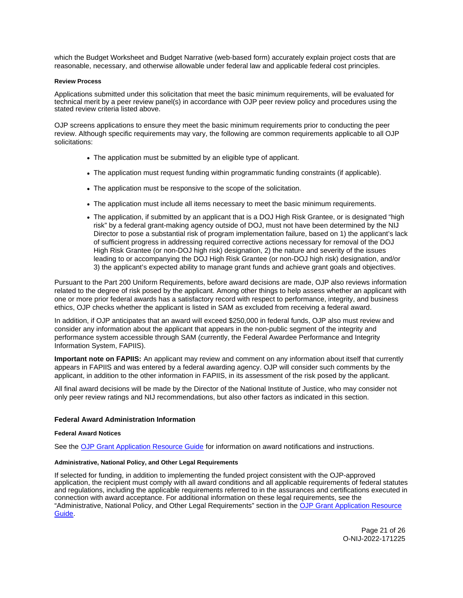<span id="page-21-0"></span>which the Budget Worksheet and Budget Narrative (web-based form) accurately explain project costs that are reasonable, necessary, and otherwise allowable under federal law and applicable federal cost principles.

#### **Review Process**

Applications submitted under this solicitation that meet the basic minimum requirements, will be evaluated for technical merit by a peer review panel(s) in accordance with OJP peer review policy and procedures using the stated review criteria listed above.

OJP screens applications to ensure they meet the basic minimum requirements prior to conducting the peer review. Although specific requirements may vary, the following are common requirements applicable to all OJP solicitations:

- The application must be submitted by an eligible type of applicant.
- The application must request funding within programmatic funding constraints (if applicable).
- The application must be responsive to the scope of the solicitation.
- The application must include all items necessary to meet the basic minimum requirements.
- The application, if submitted by an applicant that is a DOJ High Risk Grantee, or is designated "high risk" by a federal grant-making agency outside of DOJ, must not have been determined by the NIJ Director to pose a substantial risk of program implementation failure, based on 1) the applicant's lack of sufficient progress in addressing required corrective actions necessary for removal of the DOJ High Risk Grantee (or non-DOJ high risk) designation, 2) the nature and severity of the issues leading to or accompanying the DOJ High Risk Grantee (or non-DOJ high risk) designation, and/or 3) the applicant's expected ability to manage grant funds and achieve grant goals and objectives.

Pursuant to the Part 200 Uniform Requirements, before award decisions are made, OJP also reviews information related to the degree of risk posed by the applicant. Among other things to help assess whether an applicant with one or more prior federal awards has a satisfactory record with respect to performance, integrity, and business ethics, OJP checks whether the applicant is listed in SAM as excluded from receiving a federal award.

In addition, if OJP anticipates that an award will exceed \$250,000 in federal funds, OJP also must review and consider any information about the applicant that appears in the non-public segment of the integrity and performance system accessible through SAM (currently, the Federal Awardee Performance and Integrity Information System, FAPIIS).

**Important note on FAPIIS:** An applicant may review and comment on any information about itself that currently appears in FAPIIS and was entered by a federal awarding agency. OJP will consider such comments by the applicant, in addition to the other information in FAPIIS, in its assessment of the risk posed by the applicant.

All final award decisions will be made by the Director of the National Institute of Justice, who may consider not only peer review ratings and NIJ recommendations, but also other factors as indicated in this section.

## **Federal Award Administration Information**

#### **Federal Award Notices**

See the [OJP Grant Application Resource Guide](https://www.ojp.gov/funding/apply/ojp-grant-application-resource-guide#federal-award-notices) for information on award notifications and instructions.

#### **Administrative, National Policy, and Other Legal Requirements**

If selected for funding, in addition to implementing the funded project consistent with the OJP-approved application, the recipient must comply with all award conditions and all applicable requirements of federal statutes and regulations, including the applicable requirements referred to in the assurances and certifications executed in connection with award acceptance. For additional information on these legal requirements, see the "Administrative, National Policy, and Other Legal Requirements" section in the OJP Grant Application Resource [Guide.](https://www.ojp.gov/funding/apply/ojp-grant-application-resource-guide#administrative)

> Page 21 of 26 O-NIJ-2022-171225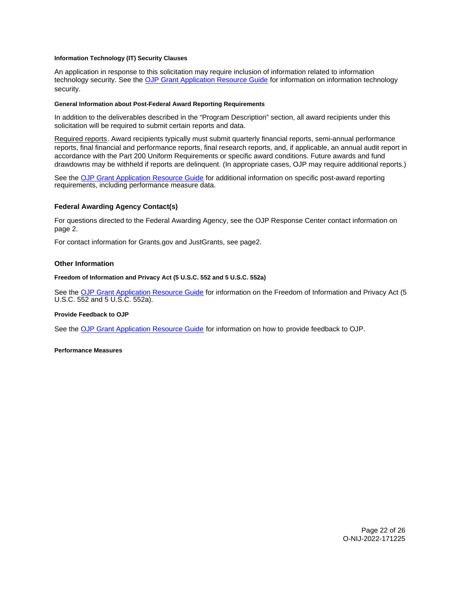#### <span id="page-22-0"></span>**Information Technology (IT) Security Clauses**

An application in response to this solicitation may require inclusion of information related to information technology security. See the [OJP Grant Application Resource Guide](https://www.ojp.gov/funding/apply/ojp-grant-application-resource-guide#information-technology) for information on information technology security.

#### **General Information about Post-Federal Award Reporting Requirements**

In addition to the deliverables described in the "Program Description" section, all award recipients under this solicitation will be required to submit certain reports and data.

Required reports. Award recipients typically must submit quarterly financial reports, semi-annual performance reports, final financial and performance reports, final research reports, and, if applicable, an annual audit report in accordance with the Part 200 Uniform Requirements or specific award conditions. Future awards and fund drawdowns may be withheld if reports are delinquent. (In appropriate cases, OJP may require additional reports.)

See the [OJP Grant Application Resource Guide](https://www.ojp.gov/funding/apply/ojp-grant-application-resource-guide#general-information) for additional information on specific post-award reporting requirements, including performance measure data.

## **Federal Awarding Agency Contact(s)**

For questions directed to the Federal Awarding Agency, see the OJP Response Center contact information on page 2.

For contact information for [Grants.gov](https://Grants.gov) and JustGrants, see page2.

## **Other Information**

#### **Freedom of Information and Privacy Act (5 U.S.C. 552 and 5 U.S.C. 552a)**

See the [OJP Grant Application Resource Guide](https://www.ojp.gov/funding/apply/ojp-grant-application-resource-guide#foia) for information on the Freedom of Information and Privacy Act (5 U.S.C. 552 and 5 U.S.C. 552a).

#### **Provide Feedback to OJP**

See the [OJP Grant Application Resource Guide](https://www.ojp.gov/funding/apply/ojp-grant-application-resource-guide#feedback) for information on how to provide feedback to OJP.

**Performance Measures**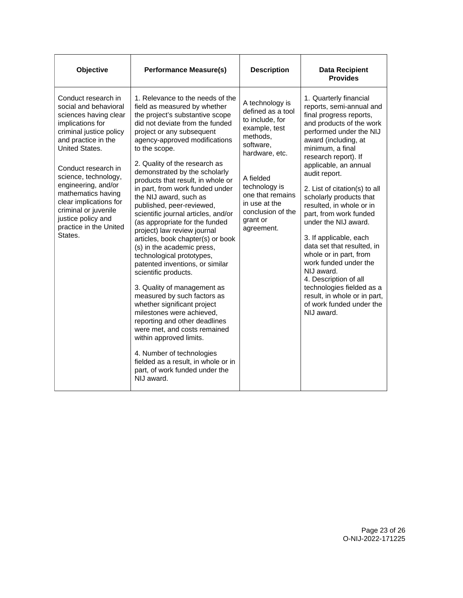| Objective                                                                                                                                                                                                                                                                                                                                                              | <b>Performance Measure(s)</b>                                                                                                                                                                                                                                                                                                                                                                                                                                                                                                                                                                                                                                                                                                                                                                                                                                                                                                                                                                                                       | <b>Description</b>                                                                                                                                                                                                                    | <b>Data Recipient</b><br><b>Provides</b>                                                                                                                                                                                                                                                                                                                                                                                                                                                                                                                                                                                                              |
|------------------------------------------------------------------------------------------------------------------------------------------------------------------------------------------------------------------------------------------------------------------------------------------------------------------------------------------------------------------------|-------------------------------------------------------------------------------------------------------------------------------------------------------------------------------------------------------------------------------------------------------------------------------------------------------------------------------------------------------------------------------------------------------------------------------------------------------------------------------------------------------------------------------------------------------------------------------------------------------------------------------------------------------------------------------------------------------------------------------------------------------------------------------------------------------------------------------------------------------------------------------------------------------------------------------------------------------------------------------------------------------------------------------------|---------------------------------------------------------------------------------------------------------------------------------------------------------------------------------------------------------------------------------------|-------------------------------------------------------------------------------------------------------------------------------------------------------------------------------------------------------------------------------------------------------------------------------------------------------------------------------------------------------------------------------------------------------------------------------------------------------------------------------------------------------------------------------------------------------------------------------------------------------------------------------------------------------|
| Conduct research in<br>social and behavioral<br>sciences having clear<br>implications for<br>criminal justice policy<br>and practice in the<br>United States.<br>Conduct research in<br>science, technology,<br>engineering, and/or<br>mathematics having<br>clear implications for<br>criminal or juvenile<br>justice policy and<br>practice in the United<br>States. | 1. Relevance to the needs of the<br>field as measured by whether<br>the project's substantive scope<br>did not deviate from the funded<br>project or any subsequent<br>agency-approved modifications<br>to the scope.<br>2. Quality of the research as<br>demonstrated by the scholarly<br>products that result, in whole or<br>in part, from work funded under<br>the NIJ award, such as<br>published, peer-reviewed,<br>scientific journal articles, and/or<br>(as appropriate for the funded<br>project) law review journal<br>articles, book chapter(s) or book<br>(s) in the academic press,<br>technological prototypes,<br>patented inventions, or similar<br>scientific products.<br>3. Quality of management as<br>measured by such factors as<br>whether significant project<br>milestones were achieved,<br>reporting and other deadlines<br>were met, and costs remained<br>within approved limits.<br>4. Number of technologies<br>fielded as a result, in whole or in<br>part, of work funded under the<br>NIJ award. | A technology is<br>defined as a tool<br>to include, for<br>example, test<br>methods,<br>software,<br>hardware, etc.<br>A fielded<br>technology is<br>one that remains<br>in use at the<br>conclusion of the<br>grant or<br>agreement. | 1. Quarterly financial<br>reports, semi-annual and<br>final progress reports,<br>and products of the work<br>performed under the NIJ<br>award (including, at<br>minimum, a final<br>research report). If<br>applicable, an annual<br>audit report.<br>2. List of citation(s) to all<br>scholarly products that<br>resulted, in whole or in<br>part, from work funded<br>under the NIJ award.<br>3. If applicable, each<br>data set that resulted, in<br>whole or in part, from<br>work funded under the<br>NIJ award.<br>4. Description of all<br>technologies fielded as a<br>result, in whole or in part,<br>of work funded under the<br>NIJ award. |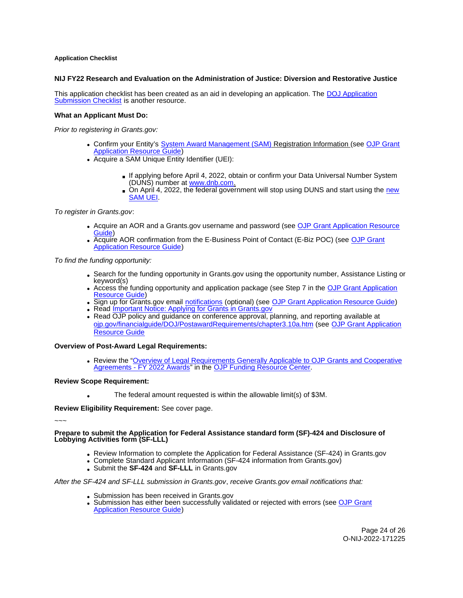## <span id="page-24-0"></span>**Application Checklist**

## **NIJ FY22 Research and Evaluation on the Administration of Justice: Diversion and Restorative Justice**

This application checklist has been created as an aid in developing an application. The [DOJ Application](https://justicegrants.usdoj.gov/sites/g/files/xyckuh296/files/media/document/appln-submission-checklist.pdf)  [Submission Checklist](https://justicegrants.usdoj.gov/sites/g/files/xyckuh296/files/media/document/appln-submission-checklist.pdf) is another resource.

### **What an Applicant Must Do:**

Prior to registering in [Grants.gov](https://Grants.gov):

- Confirm your Entity's [System Award Management \(SAM\)](https://sam.gov/SAM/) Registration Information (see [OJP Grant](https://www.ojp.gov/funding/apply/ojp-grant-application-resource-guide#apply)  [Application Resource Guide\)](https://www.ojp.gov/funding/apply/ojp-grant-application-resource-guide#apply)
- Acquire a SAM Unique Entity Identifier (UEI):
	- If applying before April 4, 2022, obtain or confirm your Data Universal Number System (DUNS) number at [www.dnb.com.](http://www.dnb.com)
	- On April 4, 2022, the federal government will stop using DUNS and start using the new [SAM UEI.](https://justicegrants.usdoj.gov/resources/system-for-award-management#transition-to-unique-entity-id-sam)

To register in [Grants.gov](https://Grants.gov):

- Acquire an AOR and a [Grants.gov](https://Grants.gov) username and password (see OJP Grant Application Resource [Guide\)](https://www.ojp.gov/funding/apply/ojp-grant-application-resource-guide#apply)
- Acquire AOR confirmation from the E-Business Point of Contact (E-Biz POC) (see OJP Grant [Application Resource Guide\)](https://www.ojp.gov/funding/apply/ojp-grant-application-resource-guide#apply)

To find the funding opportunity:

- Search for the funding opportunity in [Grants.gov](https://Grants.gov) using the opportunity number, Assistance Listing or keyword(s)
- Access the funding opportunity and application package (see Step 7 in the [OJP Grant Application](https://www.ojp.gov/funding/apply/ojp-grant-application-resource-guide#apply)  [Resource Guide\)](https://www.ojp.gov/funding/apply/ojp-grant-application-resource-guide#apply)
- Sign up for [Grants.gov](https://Grants.gov) email [notifications](https://www.grants.gov/web/grants/manage-subscriptions.html) (optional) (see [OJP Grant Application Resource Guide\)](https://www.ojp.gov/funding/apply/ojp-grant-application-resource-guide#apply)
- Read Important Notice: Applying for Grants in Grants.gov
- Read OJP policy and guidance on conference approval, planning, and reporting available at [ojp.gov/financialguide/DOJ/PostawardRequirements/chapter3.10a.htm](https://ojp.gov/financialguide/DOJ/PostawardRequirements/chapter3.10a.htm) (see [OJP Grant Application](https://www.ojp.gov/funding/apply/ojp-grant-application-resource-guide#prior-approval)  [Resource Guide](https://www.ojp.gov/funding/apply/ojp-grant-application-resource-guide#prior-approval)

**Overview of Post-Award Legal Requirements:** 

Review the "[Overview of Legal Requirements Generally Applicable to OJP Grants and Cooperative](https://www.ojp.gov/funding/explore/legal-overview-awards)  [Agreements - FY 2022 Awards"](https://www.ojp.gov/funding/explore/legal-overview-awards) in the [OJP Funding Resource Center.](https://www.ojp.gov/funding/explore/legal-overview-awards)

#### **Review Scope Requirement:**

The federal amount requested is within the allowable limit(s) of \$3M.

**Review Eligibility Requirement:** See cover page.

~~~

### **Prepare to submit the Application for Federal Assistance standard form (SF)-424 and Disclosure of Lobbying Activities form (SF-LLL)**

- Review Information to complete the Application for Federal Assistance (SF-424) in [Grants.gov](https://Grants.gov)
- Complete Standard Applicant Information (SF-424 information from [Grants.gov\)](https://Grants.gov)
- Submit the **SF-424** and **SF-LLL** in [Grants.gov](https://Grants.gov)

#### After the SF-424 and SF-LLL submission in [Grants.gov](https://Grants.gov), receive [Grants.gov](https://Grants.gov) email notifications that:

- Submission has been received in Grants.gov
- Submission has either been successfully validated or rejected with errors (see OJP Grant [Application Resource Guide\)](https://www.ojp.gov/funding/apply/ojp-grant-application-resource-guide#apply)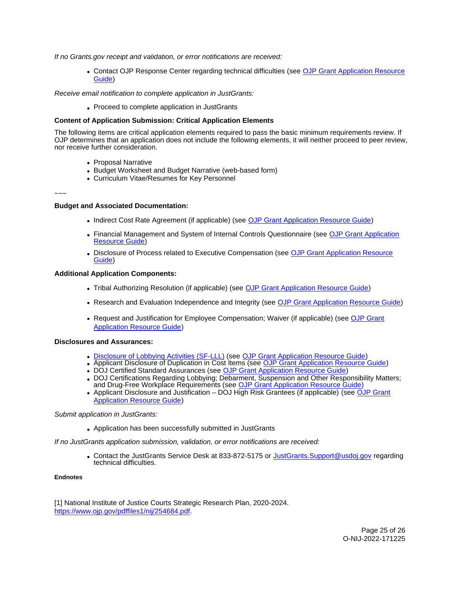<span id="page-25-0"></span>If no [Grants.gov](https://Grants.gov) receipt and validation, or error notifications are received:

• Contact OJP Response Center regarding technical difficulties (see OJP Grant Application Resource [Guide\)](https://www.ojp.gov/funding/apply/ojp-grant-application-resource-guide#apply)

Receive email notification to complete application in JustGrants:

Proceed to complete application in JustGrants

## **Content of Application Submission: Critical Application Elements**

The following items are critical application elements required to pass the basic minimum requirements review. If OJP determines that an application does not include the following elements, it will neither proceed to peer review, nor receive further consideration.

- Proposal Narrative
- Budget Worksheet and Budget Narrative (web-based form)
- Curriculum Vitae/Resumes for Key Personnel

### ~~~

### **Budget and Associated Documentation:**

- Indirect Cost Rate Agreement (if applicable) (see [OJP Grant Application Resource Guide\)](https://www.ojp.gov/funding/apply/ojp-grant-application-resource-guide#indirect-cost)
- Financial Management and System of Internal Controls Questionnaire (see [OJP Grant Application](https://www.ojp.gov/funding/apply/ojp-grant-application-resource-guide#fm-internal-controls-questionnaire)  [Resource Guide\)](https://www.ojp.gov/funding/apply/ojp-grant-application-resource-guide#fm-internal-controls-questionnaire)
- Disclosure of Process related to Executive Compensation (see [OJP Grant Application Resource](https://www.ojp.gov/funding/apply/ojp-grant-application-resource-guide#disclosure-process-executive)  [Guide\)](https://www.ojp.gov/funding/apply/ojp-grant-application-resource-guide#disclosure-process-executive)

## **Additional Application Components:**

- Tribal Authorizing Resolution (if applicable) (see [OJP Grant Application Resource Guide\)](https://www.ojp.gov/funding/apply/ojp-grant-application-resource-guide#tribal-authorizing-resolution)
- Research and Evaluation Independence and Integrity (see [OJP Grant Application Resource Guide\)](https://www.ojp.gov/funding/apply/ojp-grant-application-resource-guide#research-evaluation)
- Request and Justification for Employee Compensation; Waiver (if applicable) (see OJP Grant [Application Resource Guide\)](https://www.ojp.gov/funding/apply/ojp-grant-application-resource-guide#limitation-use-award)

#### **Disclosures and Assurances:**

- [Disclosure of Lobbying Activities \(SF-LLL\)](https://ojp.gov/funding/Apply/Resources/Disclosure.pdf) (see [OJP Grant Application Resource Guide\)](https://www.ojp.gov/funding/apply/ojp-grant-application-resource-guide#disclosure-lobby)
- Applicant Disclosure of Duplication in Cost Items (see [OJP Grant Application Resource Guide\)](https://www.ojp.gov/funding/apply/ojp-grant-application-resource-guide#applicant-disclosure-pending-applications)
- DOJ Certified Standard Assurances (see [OJP Grant Application Resource Guide\)](https://www.ojp.gov/funding/apply/ojp-grant-application-resource-guide#administrative)
- DOJ Certifications Regarding Lobbying; Debarment, Suspension and Other Responsibility Matters; and Drug-Free Workplace Requirements (see [OJP Grant Application Resource Guide\)](https://www.ojp.gov/funding/apply/ojp-grant-application-resource-guide#administrative)
- Applicant Disclosure and Justification DOJ High Risk Grantees (if applicable) (see OJP Grant [Application Resource Guide\)](https://www.ojp.gov/funding/apply/ojp-grant-application-resource-guide#applicant-disclosure-justification)

#### Submit application in JustGrants:

Application has been successfully submitted in JustGrants

If no JustGrants application submission, validation, or error notifications are received:

• Contact the JustGrants Service Desk at 833-872-5175 or [JustGrants.Support@usdoj.gov](mailto:JustGrants.Support@usdoj.gov) regarding technical difficulties.

#### **Endnotes**

[1] National Institute of Justice Courts Strategic Research Plan, 2020-2024. [https://www.ojp.gov/pdffiles1/nij/254684.pdf.](https://www.ojp.gov/pdffiles1/nij/254684.pdf)